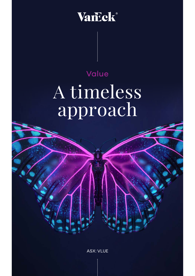## Vanck

## Value A timeless approach

**ASX: VLUE**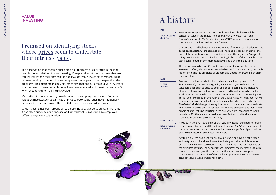The observation that cheaply priced stocks outperform pricier stocks in the long term is the foundation of value investing. Cheaply priced stocks are those that are trading lower than their 'intrinsic' or book 'value'. Value investing, therefore, is like bargain hunting, it is about buying companies that appear to be cheaper than they are worth. This often means buying companies that are out of favour with investors. In some cases, these companies may have been oversold and investors can benefit when they return to their intrinsic value.

It's worthwhile understanding how the value of a company is measured. Common valuation metrics, such as earnings or price-to-book value ratios have traditionally been used to measure value. Those with low metrics are considered value.

Value investing has been around since before the Great Depression. Over that time it has faced criticism, been finessed and different value investors have employed different ways to calculate value.

#### VALUE INVESTING

#### Premised on identifying stocks whose prices seem to understate their intrinsic value.

## A history

Economists Benjamin Graham and David Dodd formally developed the concept of value in the 1920s. Their book, *Security Analysis* (1934) and Graham's later work, *The Intelligent Investo*r (1949) introduced investors to methods that could be used to identify value.

Graham and Dodd believed that the true value of a stock could be determined based on its assets, future earnings, dividends and prospects. The lower the price of the security, relative to this intrinsic value, the higher the 'margin of safety'. Behind this concept of value investing is the belief that 'cheaply' valued assets tend to outperform more expensive stocks over the long term.

This has proven to be true. One of the world's most successful investors, Warren E. Buffett, who got an A+ from Graham at Columbia in 1951, has made his fortune using the principles of Graham and Dodd as the CEO in Berkshire Hathaway Inc.

Academics too have studied value. Early research done by Basu (1977), Stattman (1980), and Rosenberg, Reid, and Lanstein (1985) shows that valuation ratios such as price-to-book and price-to-earnings are indicative of future returns, and that low value stocks tend to outperform high value stocks over a long time horizon. This led to Fama and French developing the Three-Factor Model as an extension of the Capital Asset Pricing Model (CAPM) to account for size and value factors. Fama and French's Three-Factor (later Five-Factor) Model changed the way investors considered and measured risks and returns. It paved the way for research into the persistent and identifiable drivers of stock returns, resulting in the rise of 'factors'. According to index provider MSCI, there are six main investment factors: quality, size, value, momentum, dividend yield and volatility.

It was during the 70's, 80's and 90's that value investing flourished. According to the commentary of the 2003 edition of Graham's *The Intelligent Investor*, at the time, prominent value advocate and active manager Peter Lynch had the best 20 -year return of any mutual fund ever.

Key to his success was identifying real value stocks and avoiding the cheap and nasty. A low price alone does not indicate good value, and those who pursue low price alone can easily fall into 'value traps'. This has been one of the criticisms of value. The danger is that sometimes the market's pessimism toward a company is justified due to poor financial prospects or poor management. The possibility of these value traps means investors have to consider value beyond traditional metrics.

**Further research**

**1970s**

**Value investing identified**

#### **1920s**

**Value investing flourished**

**1970s – 2000s**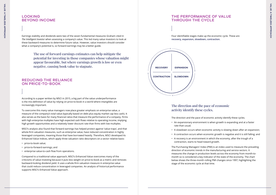The direction and the pace of economic activity identify these cycles.

• An expansionary environment is when growth is expanding and at a faster

• A slowdown occurs when economic activity is slowing down after an expansion; • A contraction occurs when economic growth is negative and it is still falling; and • A recovery is an environment in which the economy, after the trough of a

- rate than usual;
- 
- 
- contraction, starts to head toward growth.

# VALUE: A TIMELESS APPROACH **VALUE: A TIMELESS APPROACH**

The Purchasing Managers' Index (PMI) is an index used to measure the prevailing direction of economic trends in the manufacturing and service sectors. It measures the change in production levels across the economy from month-tomonth so is considered a key indicator of the state of the economy. The chart below shows the three-month rolling PMI changes since 1997, highlighting the stage of the economic cycle at that time.

Earnings stability and dividends were two of the seven fundamental measures Graham cited in *The Intelligent Investor* when assessing a company's value. This led many value investors to look at these backward measures to determine future value. However, value investors should consider what a company's potential is, so forward earnings may be a better guide.

#### LOOKING BEYOND INCOME

According to a paper written by MSCI in 2015, a big part of the value underperformance is the mis-definition of value by relying on price-to-book in a world where intangibles are increasingly important.

To overcome this many value managers now place greater emphasis on enterprise value, a measure of the company's total value (typically based on debt plus equity market cap less cash). It also serves as the basis for many financial ratios that measure the performance of a company. Firms with high enterprise multiples have high expected cash flows relative to operating income, implying high growth opportunities and a relatively lower discount rate than firms with low multiples.

MSCI's analysis also found that forward earnings has helped protect against 'value traps', and that whole-firm valuation measures, such as enterprise value, have reduced concentration in highly leveraged companies, meaning those that have borrowed heavily. Therefore, MSCI developed its Enhanced Value Indices, which apply three valuation ratio descriptors on a sector relative basis:

- price-to-book value;
- price-to-forward earnings; and
- enterprise value-to-cash flow from operations.

Compared to a traditional value approach, MSCI's Enhanced Value overcomes many of the criticisms of value investing because it puts less weight on price-to-book as a metric and removes backward-looking dividend yield. It uses a whole-firm valuation measure in enterprise value that could reduce concentration in leveraged companies. An analysis of historical performance supports MSCI's Enhanced Value approach.

#### REDUCING THE RELIANCE ON PRICE-TO-BOOK

The use of forward earnings estimates can help mitigate the potential for investing in those companies whose valuation might appear favourable, but where earnings growth is low or even negative, causing book value to stagnate.

#### THE PERFORMANCE OF VALUE THROUGH THE CYCLE



Four identifiable stages make up the economic cycle. These are **recovery, expansion, slowdown, contraction.**

#### The direction and the pace of economic activity identify these cycles.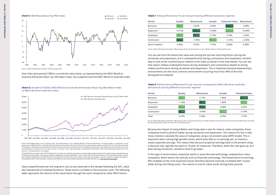#### **Table 1:** Total performance (% per annum) during different economic regimes

| <b>Period</b>   | Quality | Momentum  | Growth   | <b>Enhanced Value</b> | <b>Benchmark</b> |
|-----------------|---------|-----------|----------|-----------------------|------------------|
| Recovery        | 9.16%   | 5.07%     | 4.35%    | 13.72%                | 2.89%            |
| Expansion       | 14.75%  | 21.21%    | 17.69%   | 18.64%                | 15.84%           |
| Slowdown        | 5.25%   | 6.39%     | 2.10%    | 2.24%                 | 2.02%            |
| Contraction     | 5.07%   | $-7.30\%$ | $-2.80%$ | $-3.15%$              | $-2.36%$         |
| Since Inception | 9.40%   | 9.91%     | 7.75%    | 8.66%                 | 6.99%            |

Source: VanEck, Bloomberg. November 1998 to January 2022. Past performance is not a reliable indicator of future performance.

You can see from the above that value was among the top two returning factors during the recoveries and expansions, but it underperformed during contractions and slowdowns. Another way to look at this is performance relative to the index as shown in the chart below. You can see that value's relative underperformance during slowdowns and contractions dwarfs its strong relative performance during recoveries and expansions. This is important because expansionary environments are the most common environment occurring more than 40% of the time during period analysed.

#### **Table 2:** Performance differential (% per annum) compared to MSCI World ex Australia benchmark during different economic regimes

| Period      | Quality  | <b>Momentum</b> | Growth   | <b>Enhanced Value</b> |
|-------------|----------|-----------------|----------|-----------------------|
| Recovery    | 6.26%    | 2.17%           | 1.46%    | 10.82%                |
| Expansion   | $-1.10%$ | 5.37%           | 1.85%    | 2.80%                 |
| Slowdown    | 3.23%    | 4.37%           | 0.08%    | 0.22%                 |
| Contraction | 7.43%    | $-4.94%$        | $-0.44%$ | $-0.79%$              |
| Total       | 2.41%    | 2.92%           | 0.76%    | 1.67%                 |

Source: VanEck, Bloomberg. November 1998 to January 2022. Past performance is not a reliable indicator of future performance. Performance differential is calculated by subtracting the total return from the return of the benchmark.

Because the impact of rising inflation and rising rates is less for mature, value companies, those companies tend to perform better during recoveries and expansions. The reasons for this is that many investors calculate the value of companies using a net present value (NPV) model. This is important when valuing high-growth stocks, which have little or no earnings yet, so investors assess expected earnings. This means they discount projected earnings back to the present using a discount rate, typically the yield on 10-year US treasuries. Therefore, when this rate goes up, as it does during recoveries, valuations tend to go down.

In this type of environment, expensive stocks in areas like new-technology underperform value companies, which tend to be cyclicals such as financials and energy. The forward price-to-earnings (PE) multiples of the most expensive stocks therefore become inversely correlated with 10-year yields during rate hiking cycles. The reverse is true for value stocks during these periods.

Value outperformed over the long term, but as was observed in the decade following the GFC, value also had periods of underperformance. These tend to correlate to the economic cycle. The following table represents the returns of the value factor through the cycle compared to other MSCI factors.

Source: Morningstar Direct, as at 31 January 2022. Past performance is not a reliable indicator of future performance. The above graph is a comparison of the performance of MSCI World ex Australia Enhanced Value Top 250 Select Index (VLUE Index) and the parent index, based to 10,000 from the VLUE Index base date 30 November 1998. Results are calculated to the last business day of the month and assume immediate reinvestment of all dividends and exclude fees and costs

associated with investing in VLUE. You cannot invest in an index. VLUE's Index base date is calculated at 30 November 1998. VLUE Index performance prior to its launch on 15 February 2021 is simulated. The MSCI World ex Australia Index ("MSCI World ex Aus") is shown for comparison purposes as it is the widely recognised benchmark used to measure the performance

of developed market large- and mid-cap companies, weighted by market capitalisation. VLUE's index measures the performance of 250 international large- and midcap companies selected from the MSCI World ex Australia Index with high value scores relative to their peers at rebalance. Exclusions apply for weapons and tobacco. Consequently, VLUE's index has fewer companies and different country and industry allocations than MSCI World ex Aus. [Click here for more details.](https://www.vaneck.com.au/etf/equity/vlue/index)

**Chart 2:** Growth of 10,000: MSCI World ex Australia Enhanced Value Top 250 Select Index vs MSCI World ex Australia Index



Over that same period (1998 to current) the value factor, as represented by the MSCI World ex Australia Enhanced Value Top 250 Select Index, has outperformed the MSCI World ex Australia Index.